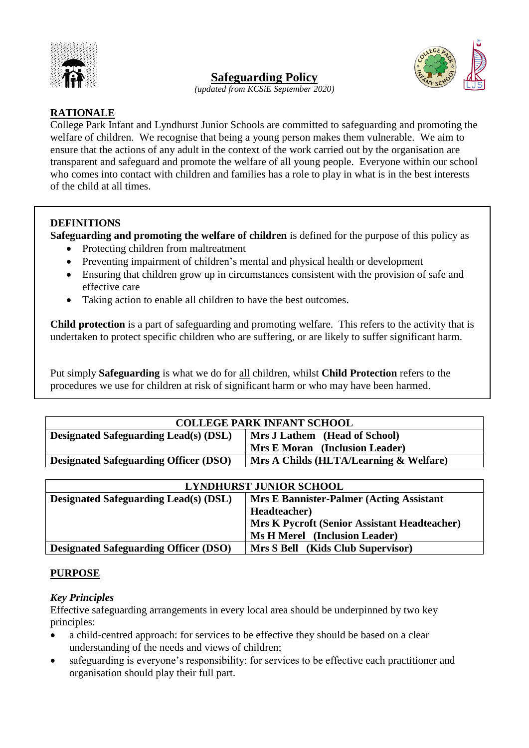

# **Safeguarding Policy**



*(updated from KCSiE September 2020)*

## **RATIONALE**

College Park Infant and Lyndhurst Junior Schools are committed to safeguarding and promoting the welfare of children. We recognise that being a young person makes them vulnerable. We aim to ensure that the actions of any adult in the context of the work carried out by the organisation are transparent and safeguard and promote the welfare of all young people. Everyone within our school who comes into contact with children and families has a role to play in what is in the best interests of the child at all times.

#### **DEFINITIONS**

**Safeguarding and promoting the welfare of children** is defined for the purpose of this policy as

- Protecting children from maltreatment
- Preventing impairment of children's mental and physical health or development
- Ensuring that children grow up in circumstances consistent with the provision of safe and effective care
- Taking action to enable all children to have the best outcomes.

**Child protection** is a part of safeguarding and promoting welfare. This refers to the activity that is undertaken to protect specific children who are suffering, or are likely to suffer significant harm.

Put simply **Safeguarding** is what we do for all children, whilst **Child Protection** refers to the procedures we use for children at risk of significant harm or who may have been harmed.

| <b>COLLEGE PARK INFANT SCHOOL</b>            |                                        |  |
|----------------------------------------------|----------------------------------------|--|
| <b>Designated Safeguarding Lead(s) (DSL)</b> | Mrs J Lathem (Head of School)          |  |
|                                              | <b>Mrs E Moran</b> (Inclusion Leader)  |  |
| <b>Designated Safeguarding Officer (DSO)</b> | Mrs A Childs (HLTA/Learning & Welfare) |  |
|                                              |                                        |  |

| <b>LYNDHURST JUNIOR SCHOOL</b>               |                                                     |  |
|----------------------------------------------|-----------------------------------------------------|--|
| <b>Designated Safeguarding Lead(s) (DSL)</b> | <b>Mrs E Bannister-Palmer (Acting Assistant</b> )   |  |
|                                              | Headteacher)                                        |  |
|                                              | <b>Mrs K Pycroft (Senior Assistant Headteacher)</b> |  |
|                                              | <b>Ms H Merel</b> (Inclusion Leader)                |  |
| <b>Designated Safeguarding Officer (DSO)</b> | Mrs S Bell (Kids Club Supervisor)                   |  |

#### **PURPOSE**

#### *Key Principles*

Effective safeguarding arrangements in every local area should be underpinned by two key principles:

- a child-centred approach: for services to be effective they should be based on a clear understanding of the needs and views of children;
- safeguarding is everyone's responsibility: for services to be effective each practitioner and organisation should play their full part.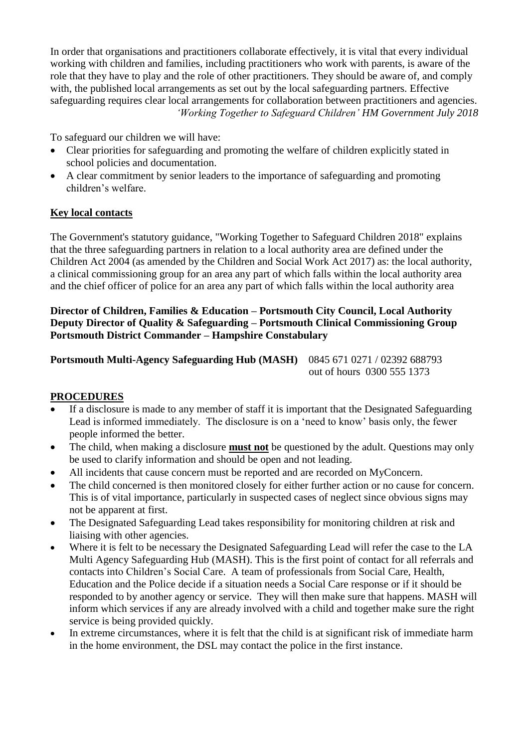In order that organisations and practitioners collaborate effectively, it is vital that every individual working with children and families, including practitioners who work with parents, is aware of the role that they have to play and the role of other practitioners. They should be aware of, and comply with, the published local arrangements as set out by the local safeguarding partners. Effective safeguarding requires clear local arrangements for collaboration between practitioners and agencies. *'Working Together to Safeguard Children' HM Government July 2018*

To safeguard our children we will have:

- Clear priorities for safeguarding and promoting the welfare of children explicitly stated in school policies and documentation.
- A clear commitment by senior leaders to the importance of safeguarding and promoting children's welfare.

## **Key local contacts**

The Government's statutory guidance, "Working Together to Safeguard Children 2018" explains that the three safeguarding partners in relation to a local authority area are defined under the Children Act 2004 (as amended by the Children and Social Work Act 2017) as: the local authority, a clinical commissioning group for an area any part of which falls within the local authority area and the chief officer of police for an area any part of which falls within the local authority area

## **Director of Children, Families & Education – Portsmouth City Council, Local Authority Deputy Director of Quality & Safeguarding – Portsmouth Clinical Commissioning Group Portsmouth District Commander – Hampshire Constabulary**

**Portsmouth Multi-Agency Safeguarding Hub (MASH)** 0845 671 0271 / 02392 688793

# out of hours 0300 555 1373

## **PROCEDURES**

- If a disclosure is made to any member of staff it is important that the Designated Safeguarding Lead is informed immediately. The disclosure is on a 'need to know' basis only, the fewer people informed the better.
- The child, when making a disclosure **must not** be questioned by the adult. Questions may only be used to clarify information and should be open and not leading.
- All incidents that cause concern must be reported and are recorded on MyConcern.
- The child concerned is then monitored closely for either further action or no cause for concern. This is of vital importance, particularly in suspected cases of neglect since obvious signs may not be apparent at first.
- The Designated Safeguarding Lead takes responsibility for monitoring children at risk and liaising with other agencies.
- Where it is felt to be necessary the Designated Safeguarding Lead will refer the case to the LA Multi Agency Safeguarding Hub (MASH). This is the first point of contact for all referrals and contacts into Children's Social Care. A team of professionals from Social Care, Health, Education and the Police decide if a situation needs a Social Care response or if it should be responded to by another agency or service. They will then make sure that happens. MASH will inform which services if any are already involved with a child and together make sure the right service is being provided quickly.
- In extreme circumstances, where it is felt that the child is at significant risk of immediate harm in the home environment, the DSL may contact the police in the first instance.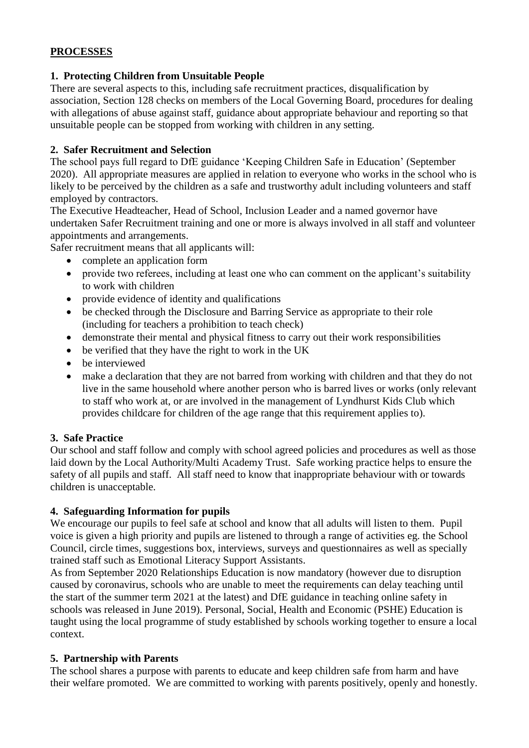# **PROCESSES**

## **1. Protecting Children from Unsuitable People**

There are several aspects to this, including safe recruitment practices, disqualification by association, Section 128 checks on members of the Local Governing Board, procedures for dealing with allegations of abuse against staff, guidance about appropriate behaviour and reporting so that unsuitable people can be stopped from working with children in any setting.

## **2. Safer Recruitment and Selection**

The school pays full regard to DfE guidance 'Keeping Children Safe in Education' (September 2020). All appropriate measures are applied in relation to everyone who works in the school who is likely to be perceived by the children as a safe and trustworthy adult including volunteers and staff employed by contractors.

The Executive Headteacher, Head of School, Inclusion Leader and a named governor have undertaken Safer Recruitment training and one or more is always involved in all staff and volunteer appointments and arrangements.

Safer recruitment means that all applicants will:

- complete an application form
- provide two referees, including at least one who can comment on the applicant's suitability to work with children
- provide evidence of identity and qualifications
- be checked through the Disclosure and Barring Service as appropriate to their role (including for teachers a prohibition to teach check)
- demonstrate their mental and physical fitness to carry out their work responsibilities
- be verified that they have the right to work in the UK
- be interviewed
- make a declaration that they are not barred from working with children and that they do not live in the same household where another person who is barred lives or works (only relevant to staff who work at, or are involved in the management of Lyndhurst Kids Club which provides childcare for children of the age range that this requirement applies to).

## **3. Safe Practice**

Our school and staff follow and comply with school agreed policies and procedures as well as those laid down by the Local Authority/Multi Academy Trust. Safe working practice helps to ensure the safety of all pupils and staff. All staff need to know that inappropriate behaviour with or towards children is unacceptable.

## **4. Safeguarding Information for pupils**

We encourage our pupils to feel safe at school and know that all adults will listen to them. Pupil voice is given a high priority and pupils are listened to through a range of activities eg. the School Council, circle times, suggestions box, interviews, surveys and questionnaires as well as specially trained staff such as Emotional Literacy Support Assistants.

As from September 2020 Relationships Education is now mandatory (however due to disruption caused by coronavirus, schools who are unable to meet the requirements can delay teaching until the start of the summer term 2021 at the latest) and DfE guidance in teaching online safety in schools was released in June 2019). Personal, Social, Health and Economic (PSHE) Education is taught using the local programme of study established by schools working together to ensure a local context.

## **5. Partnership with Parents**

The school shares a purpose with parents to educate and keep children safe from harm and have their welfare promoted. We are committed to working with parents positively, openly and honestly.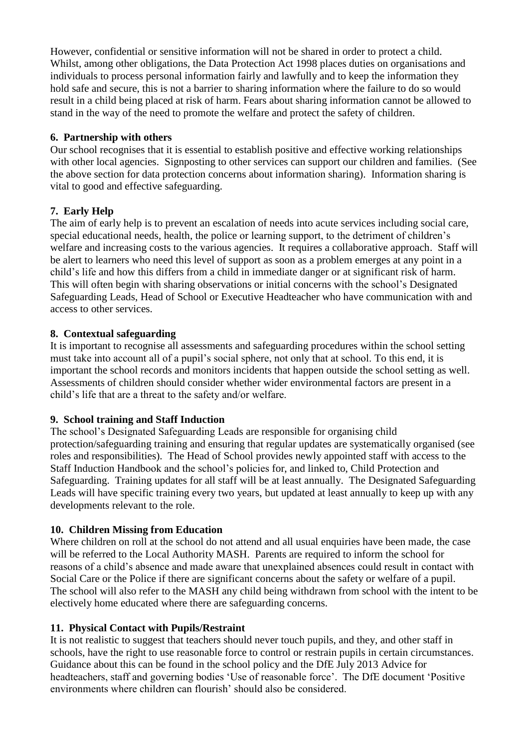However, confidential or sensitive information will not be shared in order to protect a child. Whilst, among other obligations, the Data Protection Act 1998 places duties on organisations and individuals to process personal information fairly and lawfully and to keep the information they hold safe and secure, this is not a barrier to sharing information where the failure to do so would result in a child being placed at risk of harm. Fears about sharing information cannot be allowed to stand in the way of the need to promote the welfare and protect the safety of children.

## **6. Partnership with others**

Our school recognises that it is essential to establish positive and effective working relationships with other local agencies. Signposting to other services can support our children and families. (See the above section for data protection concerns about information sharing). Information sharing is vital to good and effective safeguarding.

## **7. Early Help**

The aim of early help is to prevent an escalation of needs into acute services including social care, special educational needs, health, the police or learning support, to the detriment of children's welfare and increasing costs to the various agencies. It requires a collaborative approach. Staff will be alert to learners who need this level of support as soon as a problem emerges at any point in a child's life and how this differs from a child in immediate danger or at significant risk of harm. This will often begin with sharing observations or initial concerns with the school's Designated Safeguarding Leads, Head of School or Executive Headteacher who have communication with and access to other services.

## **8. Contextual safeguarding**

It is important to recognise all assessments and safeguarding procedures within the school setting must take into account all of a pupil's social sphere, not only that at school. To this end, it is important the school records and monitors incidents that happen outside the school setting as well. Assessments of children should consider whether wider environmental factors are present in a child's life that are a threat to the safety and/or welfare.

#### **9. School training and Staff Induction**

The school's Designated Safeguarding Leads are responsible for organising child protection/safeguarding training and ensuring that regular updates are systematically organised (see roles and responsibilities). The Head of School provides newly appointed staff with access to the Staff Induction Handbook and the school's policies for, and linked to, Child Protection and Safeguarding. Training updates for all staff will be at least annually. The Designated Safeguarding Leads will have specific training every two years, but updated at least annually to keep up with any developments relevant to the role.

#### **10. Children Missing from Education**

Where children on roll at the school do not attend and all usual enquiries have been made, the case will be referred to the Local Authority MASH. Parents are required to inform the school for reasons of a child's absence and made aware that unexplained absences could result in contact with Social Care or the Police if there are significant concerns about the safety or welfare of a pupil. The school will also refer to the MASH any child being withdrawn from school with the intent to be electively home educated where there are safeguarding concerns.

#### **11. Physical Contact with Pupils/Restraint**

It is not realistic to suggest that teachers should never touch pupils, and they, and other staff in schools, have the right to use reasonable force to control or restrain pupils in certain circumstances. Guidance about this can be found in the school policy and the DfE July 2013 Advice for headteachers, staff and governing bodies 'Use of reasonable force'. The DfE document 'Positive environments where children can flourish' should also be considered.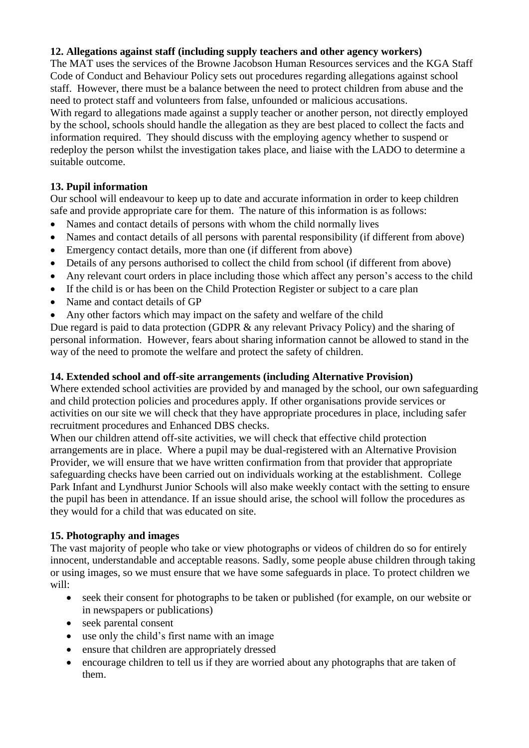## **12. Allegations against staff (including supply teachers and other agency workers)**

The MAT uses the services of the Browne Jacobson Human Resources services and the KGA Staff Code of Conduct and Behaviour Policy sets out procedures regarding allegations against school staff. However, there must be a balance between the need to protect children from abuse and the need to protect staff and volunteers from false, unfounded or malicious accusations.

With regard to allegations made against a supply teacher or another person, not directly employed by the school, schools should handle the allegation as they are best placed to collect the facts and information required. They should discuss with the employing agency whether to suspend or redeploy the person whilst the investigation takes place, and liaise with the LADO to determine a suitable outcome.

## **13. Pupil information**

Our school will endeavour to keep up to date and accurate information in order to keep children safe and provide appropriate care for them. The nature of this information is as follows:

- Names and contact details of persons with whom the child normally lives
- Names and contact details of all persons with parental responsibility (if different from above)
- Emergency contact details, more than one (if different from above)
- Details of any persons authorised to collect the child from school (if different from above)
- Any relevant court orders in place including those which affect any person's access to the child
- If the child is or has been on the Child Protection Register or subject to a care plan
- Name and contact details of GP
- Any other factors which may impact on the safety and welfare of the child

Due regard is paid to data protection (GDPR & any relevant Privacy Policy) and the sharing of personal information. However, fears about sharing information cannot be allowed to stand in the way of the need to promote the welfare and protect the safety of children.

#### **14. Extended school and off-site arrangements (including Alternative Provision)**

Where extended school activities are provided by and managed by the school, our own safeguarding and child protection policies and procedures apply. If other organisations provide services or activities on our site we will check that they have appropriate procedures in place, including safer recruitment procedures and Enhanced DBS checks.

When our children attend off-site activities, we will check that effective child protection arrangements are in place. Where a pupil may be dual-registered with an Alternative Provision Provider, we will ensure that we have written confirmation from that provider that appropriate safeguarding checks have been carried out on individuals working at the establishment. College Park Infant and Lyndhurst Junior Schools will also make weekly contact with the setting to ensure the pupil has been in attendance. If an issue should arise, the school will follow the procedures as they would for a child that was educated on site.

#### **15. Photography and images**

The vast majority of people who take or view photographs or videos of children do so for entirely innocent, understandable and acceptable reasons. Sadly, some people abuse children through taking or using images, so we must ensure that we have some safeguards in place. To protect children we will:

- seek their consent for photographs to be taken or published (for example, on our website or in newspapers or publications)
- seek parental consent
- use only the child's first name with an image
- ensure that children are appropriately dressed
- encourage children to tell us if they are worried about any photographs that are taken of them.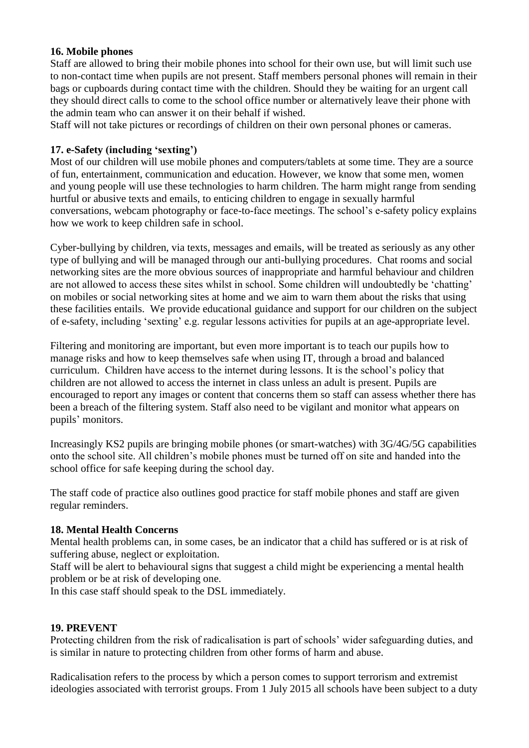#### **16. Mobile phones**

Staff are allowed to bring their mobile phones into school for their own use, but will limit such use to non-contact time when pupils are not present. Staff members personal phones will remain in their bags or cupboards during contact time with the children. Should they be waiting for an urgent call they should direct calls to come to the school office number or alternatively leave their phone with the admin team who can answer it on their behalf if wished.

Staff will not take pictures or recordings of children on their own personal phones or cameras.

#### **17. e-Safety (including 'sexting')**

Most of our children will use mobile phones and computers/tablets at some time. They are a source of fun, entertainment, communication and education. However, we know that some men, women and young people will use these technologies to harm children. The harm might range from sending hurtful or abusive texts and emails, to enticing children to engage in sexually harmful conversations, webcam photography or face-to-face meetings. The school's e-safety policy explains how we work to keep children safe in school.

Cyber-bullying by children, via texts, messages and emails, will be treated as seriously as any other type of bullying and will be managed through our anti-bullying procedures. Chat rooms and social networking sites are the more obvious sources of inappropriate and harmful behaviour and children are not allowed to access these sites whilst in school. Some children will undoubtedly be 'chatting' on mobiles or social networking sites at home and we aim to warn them about the risks that using these facilities entails. We provide educational guidance and support for our children on the subject of e-safety, including 'sexting' e.g. regular lessons activities for pupils at an age-appropriate level.

Filtering and monitoring are important, but even more important is to teach our pupils how to manage risks and how to keep themselves safe when using IT, through a broad and balanced curriculum. Children have access to the internet during lessons. It is the school's policy that children are not allowed to access the internet in class unless an adult is present. Pupils are encouraged to report any images or content that concerns them so staff can assess whether there has been a breach of the filtering system. Staff also need to be vigilant and monitor what appears on pupils' monitors.

Increasingly KS2 pupils are bringing mobile phones (or smart-watches) with 3G/4G/5G capabilities onto the school site. All children's mobile phones must be turned off on site and handed into the school office for safe keeping during the school day.

The staff code of practice also outlines good practice for staff mobile phones and staff are given regular reminders.

#### **18. Mental Health Concerns**

Mental health problems can, in some cases, be an indicator that a child has suffered or is at risk of suffering abuse, neglect or exploitation.

Staff will be alert to behavioural signs that suggest a child might be experiencing a mental health problem or be at risk of developing one.

In this case staff should speak to the DSL immediately.

#### **19. PREVENT**

Protecting children from the risk of radicalisation is part of schools' wider safeguarding duties, and is similar in nature to protecting children from other forms of harm and abuse.

Radicalisation refers to the process by which a person comes to support terrorism and extremist ideologies associated with terrorist groups. From 1 July 2015 all schools have been subject to a duty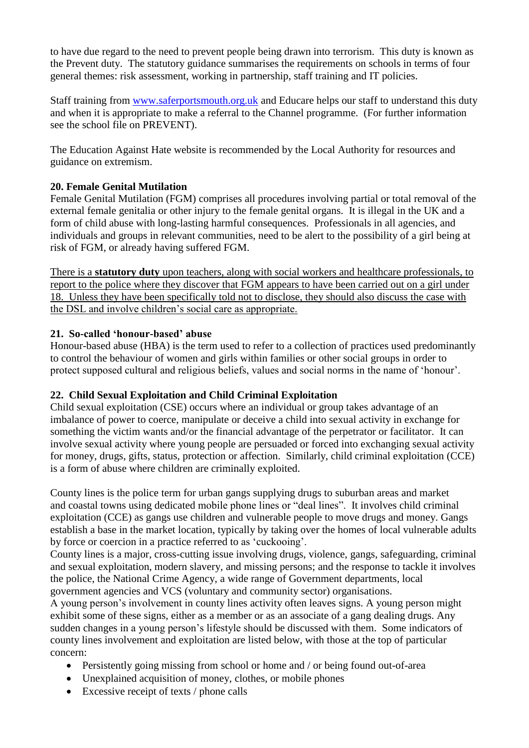to have due regard to the need to prevent people being drawn into terrorism. This duty is known as the Prevent duty. The statutory guidance summarises the requirements on schools in terms of four general themes: risk assessment, working in partnership, staff training and IT policies.

Staff training from [www.saferportsmouth.org.uk](http://www.saferportsmouth.org.uk/) and Educare helps our staff to understand this duty and when it is appropriate to make a referral to the Channel programme. (For further information see the school file on PREVENT).

The Education Against Hate website is recommended by the Local Authority for resources and guidance on extremism.

## **20. Female Genital Mutilation**

Female Genital Mutilation (FGM) comprises all procedures involving partial or total removal of the external female genitalia or other injury to the female genital organs. It is illegal in the UK and a form of child abuse with long-lasting harmful consequences. Professionals in all agencies, and individuals and groups in relevant communities, need to be alert to the possibility of a girl being at risk of FGM, or already having suffered FGM.

There is a **statutory duty** upon teachers, along with social workers and healthcare professionals, to report to the police where they discover that FGM appears to have been carried out on a girl under 18. Unless they have been specifically told not to disclose, they should also discuss the case with the DSL and involve children's social care as appropriate.

#### **21. So-called 'honour-based' abuse**

Honour-based abuse (HBA) is the term used to refer to a collection of practices used predominantly to control the behaviour of women and girls within families or other social groups in order to protect supposed cultural and religious beliefs, values and social norms in the name of 'honour'.

## **22. Child Sexual Exploitation and Child Criminal Exploitation**

Child sexual exploitation (CSE) occurs where an individual or group takes advantage of an imbalance of power to coerce, manipulate or deceive a child into sexual activity in exchange for something the victim wants and/or the financial advantage of the perpetrator or facilitator. It can involve sexual activity where young people are persuaded or forced into exchanging sexual activity for money, drugs, gifts, status, protection or affection. Similarly, child criminal exploitation (CCE) is a form of abuse where children are criminally exploited.

County lines is the police term for urban gangs supplying drugs to suburban areas and market and coastal towns using dedicated mobile phone lines or "deal lines". It involves child criminal exploitation (CCE) as gangs use children and vulnerable people to move drugs and money. Gangs establish a base in the market location, typically by taking over the homes of local vulnerable adults by force or coercion in a practice referred to as 'cuckooing'.

County lines is a major, cross-cutting issue involving drugs, violence, gangs, safeguarding, criminal and sexual exploitation, modern slavery, and missing persons; and the response to tackle it involves the police, the National Crime Agency, a wide range of Government departments, local government agencies and VCS (voluntary and community sector) organisations.

A young person's involvement in county lines activity often leaves signs. A young person might exhibit some of these signs, either as a member or as an associate of a gang dealing drugs. Any sudden changes in a young person's lifestyle should be discussed with them. Some indicators of county lines involvement and exploitation are listed below, with those at the top of particular concern:

- Persistently going missing from school or home and / or being found out-of-area
- Unexplained acquisition of money, clothes, or mobile phones
- Excessive receipt of texts / phone calls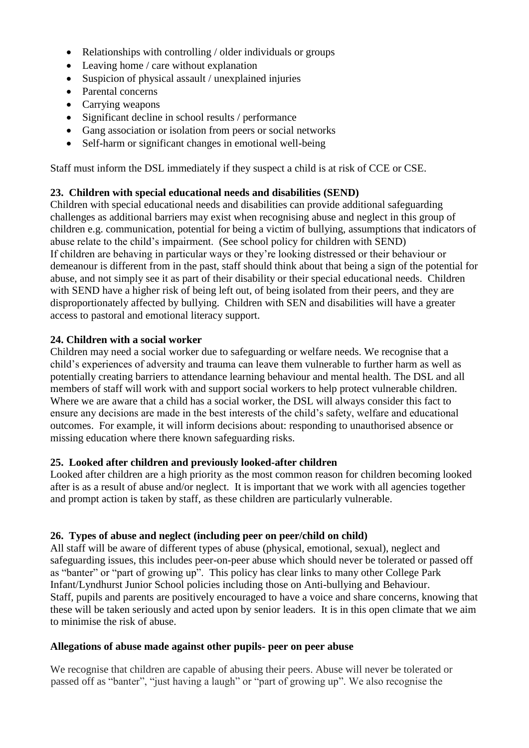- Relationships with controlling / older individuals or groups
- Leaving home / care without explanation
- Suspicion of physical assault / unexplained injuries
- Parental concerns
- Carrying weapons
- Significant decline in school results / performance
- Gang association or isolation from peers or social networks
- Self-harm or significant changes in emotional well-being

Staff must inform the DSL immediately if they suspect a child is at risk of CCE or CSE.

### **23. Children with special educational needs and disabilities (SEND)**

Children with special educational needs and disabilities can provide additional safeguarding challenges as additional barriers may exist when recognising abuse and neglect in this group of children e.g. communication, potential for being a victim of bullying, assumptions that indicators of abuse relate to the child's impairment. (See school policy for children with SEND) If children are behaving in particular ways or they're looking distressed or their behaviour or demeanour is different from in the past, staff should think about that being a sign of the potential for abuse, and not simply see it as part of their disability or their special educational needs. Children with SEND have a higher risk of being left out, of being isolated from their peers, and they are disproportionately affected by bullying. Children with SEN and disabilities will have a greater access to pastoral and emotional literacy support.

#### **24. Children with a social worker**

Children may need a social worker due to safeguarding or welfare needs. We recognise that a child's experiences of adversity and trauma can leave them vulnerable to further harm as well as potentially creating barriers to attendance learning behaviour and mental health. The DSL and all members of staff will work with and support social workers to help protect vulnerable children. Where we are aware that a child has a social worker, the DSL will always consider this fact to ensure any decisions are made in the best interests of the child's safety, welfare and educational outcomes. For example, it will inform decisions about: responding to unauthorised absence or missing education where there known safeguarding risks.

#### **25. Looked after children and previously looked-after children**

Looked after children are a high priority as the most common reason for children becoming looked after is as a result of abuse and/or neglect. It is important that we work with all agencies together and prompt action is taken by staff, as these children are particularly vulnerable.

#### **26. Types of abuse and neglect (including peer on peer/child on child)**

All staff will be aware of different types of abuse (physical, emotional, sexual), neglect and safeguarding issues, this includes peer-on-peer abuse which should never be tolerated or passed off as "banter" or "part of growing up". This policy has clear links to many other College Park Infant/Lyndhurst Junior School policies including those on Anti-bullying and Behaviour. Staff, pupils and parents are positively encouraged to have a voice and share concerns, knowing that these will be taken seriously and acted upon by senior leaders. It is in this open climate that we aim to minimise the risk of abuse.

#### **Allegations of abuse made against other pupils- peer on peer abuse**

We recognise that children are capable of abusing their peers. Abuse will never be tolerated or passed off as "banter", "just having a laugh" or "part of growing up". We also recognise the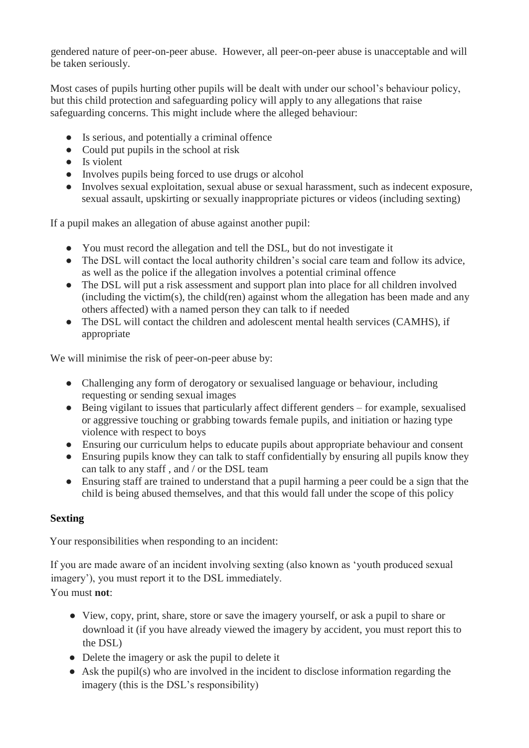gendered nature of peer-on-peer abuse. However, all peer-on-peer abuse is unacceptable and will be taken seriously.

Most cases of pupils hurting other pupils will be dealt with under our school's behaviour policy, but this child protection and safeguarding policy will apply to any allegations that raise safeguarding concerns. This might include where the alleged behaviour:

- Is serious, and potentially a criminal offence
- Could put pupils in the school at risk
- Is violent
- Involves pupils being forced to use drugs or alcohol
- Involves sexual exploitation, sexual abuse or sexual harassment, such as indecent exposure, sexual assault, upskirting or sexually inappropriate pictures or videos (including sexting)

If a pupil makes an allegation of abuse against another pupil:

- You must record the allegation and tell the DSL, but do not investigate it
- The DSL will contact the local authority children's social care team and follow its advice, as well as the police if the allegation involves a potential criminal offence
- The DSL will put a risk assessment and support plan into place for all children involved  $(including the victim(s), the child (ren) against whom the allocation has been made and any$ others affected) with a named person they can talk to if needed
- The DSL will contact the children and adolescent mental health services (CAMHS), if appropriate

We will minimise the risk of peer-on-peer abuse by:

- Challenging any form of derogatory or sexualised language or behaviour, including requesting or sending sexual images
- Being vigilant to issues that particularly affect different genders for example, sexualised or aggressive touching or grabbing towards female pupils, and initiation or hazing type violence with respect to boys
- Ensuring our curriculum helps to educate pupils about appropriate behaviour and consent
- Ensuring pupils know they can talk to staff confidentially by ensuring all pupils know they can talk to any staff , and / or the DSL team
- Ensuring staff are trained to understand that a pupil harming a peer could be a sign that the child is being abused themselves, and that this would fall under the scope of this policy

## **Sexting**

Your responsibilities when responding to an incident:

If you are made aware of an incident involving sexting (also known as 'youth produced sexual imagery'), you must report it to the DSL immediately. You must **not**:

- View, copy, print, share, store or save the imagery yourself, or ask a pupil to share or download it (if you have already viewed the imagery by accident, you must report this to the DSL)
- Delete the imagery or ask the pupil to delete it
- Ask the pupil(s) who are involved in the incident to disclose information regarding the imagery (this is the DSL's responsibility)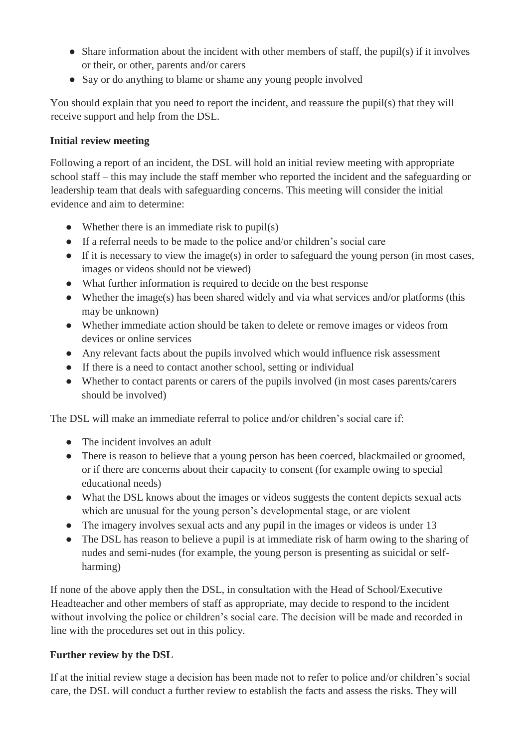- Share information about the incident with other members of staff, the pupil(s) if it involves or their, or other, parents and/or carers
- Say or do anything to blame or shame any young people involved

You should explain that you need to report the incident, and reassure the pupil(s) that they will receive support and help from the DSL.

## **Initial review meeting**

Following a report of an incident, the DSL will hold an initial review meeting with appropriate school staff – this may include the staff member who reported the incident and the safeguarding or leadership team that deals with safeguarding concerns. This meeting will consider the initial evidence and aim to determine:

- Whether there is an immediate risk to  $pupil(s)$
- If a referral needs to be made to the police and/or children's social care
- If it is necessary to view the image(s) in order to safeguard the young person (in most cases, images or videos should not be viewed)
- What further information is required to decide on the best response
- Whether the image(s) has been shared widely and via what services and/or platforms (this may be unknown)
- Whether immediate action should be taken to delete or remove images or videos from devices or online services
- Any relevant facts about the pupils involved which would influence risk assessment
- If there is a need to contact another school, setting or individual
- Whether to contact parents or carers of the pupils involved (in most cases parents/carers should be involved)

The DSL will make an immediate referral to police and/or children's social care if:

- The incident involves an adult
- There is reason to believe that a young person has been coerced, blackmailed or groomed, or if there are concerns about their capacity to consent (for example owing to special educational needs)
- What the DSL knows about the images or videos suggests the content depicts sexual acts which are unusual for the young person's developmental stage, or are violent
- The imagery involves sexual acts and any pupil in the images or videos is under 13
- The DSL has reason to believe a pupil is at immediate risk of harm owing to the sharing of nudes and semi-nudes (for example, the young person is presenting as suicidal or selfharming)

If none of the above apply then the DSL, in consultation with the Head of School/Executive Headteacher and other members of staff as appropriate, may decide to respond to the incident without involving the police or children's social care. The decision will be made and recorded in line with the procedures set out in this policy.

## **Further review by the DSL**

If at the initial review stage a decision has been made not to refer to police and/or children's social care, the DSL will conduct a further review to establish the facts and assess the risks. They will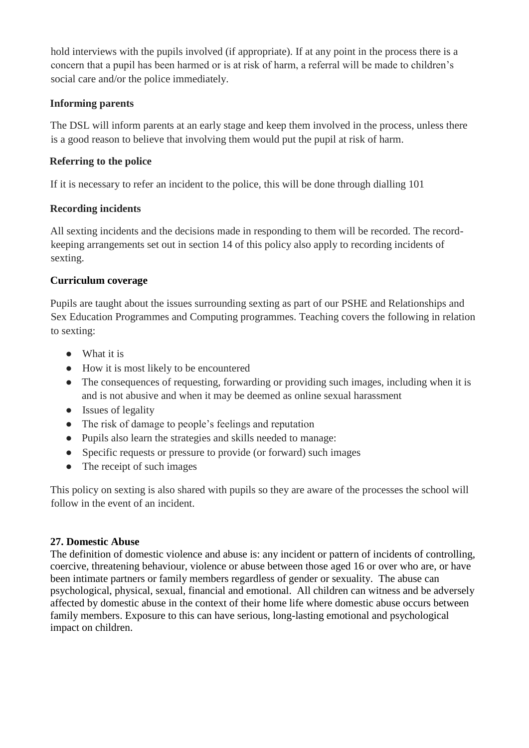hold interviews with the pupils involved (if appropriate). If at any point in the process there is a concern that a pupil has been harmed or is at risk of harm, a referral will be made to children's social care and/or the police immediately.

## **Informing parents**

The DSL will inform parents at an early stage and keep them involved in the process, unless there is a good reason to believe that involving them would put the pupil at risk of harm.

## **Referring to the police**

If it is necessary to refer an incident to the police, this will be done through dialling 101

## **Recording incidents**

All sexting incidents and the decisions made in responding to them will be recorded. The recordkeeping arrangements set out in section 14 of this policy also apply to recording incidents of sexting.

## **Curriculum coverage**

Pupils are taught about the issues surrounding sexting as part of our PSHE and Relationships and Sex Education Programmes and Computing programmes. Teaching covers the following in relation to sexting:

- What it is
- How it is most likely to be encountered
- The consequences of requesting, forwarding or providing such images, including when it is and is not abusive and when it may be deemed as online sexual harassment
- Issues of legality
- The risk of damage to people's feelings and reputation
- Pupils also learn the strategies and skills needed to manage:
- Specific requests or pressure to provide (or forward) such images
- The receipt of such images

This policy on sexting is also shared with pupils so they are aware of the processes the school will follow in the event of an incident.

#### **27. Domestic Abuse**

The definition of domestic violence and abuse is: any incident or pattern of incidents of controlling, coercive, threatening behaviour, violence or abuse between those aged 16 or over who are, or have been intimate partners or family members regardless of gender or sexuality. The abuse can psychological, physical, sexual, financial and emotional. All children can witness and be adversely affected by domestic abuse in the context of their home life where domestic abuse occurs between family members. Exposure to this can have serious, long-lasting emotional and psychological impact on children.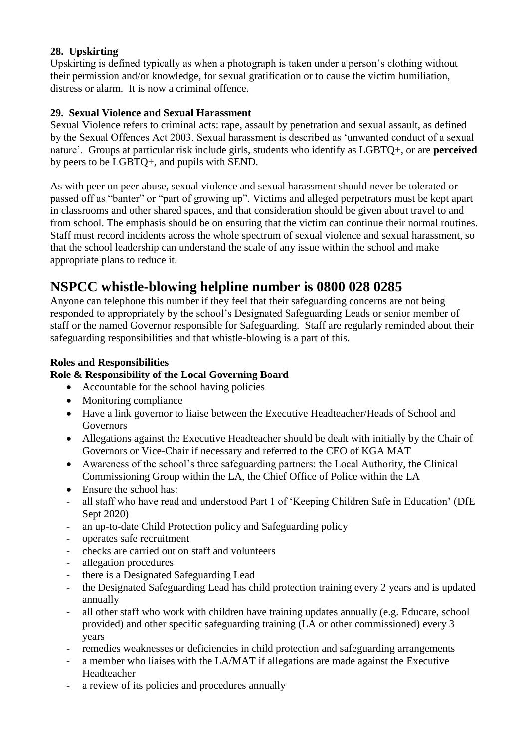# **28. Upskirting**

Upskirting is defined typically as when a photograph is taken under a person's clothing without their permission and/or knowledge, for sexual gratification or to cause the victim humiliation, distress or alarm. It is now a criminal offence.

## **29. Sexual Violence and Sexual Harassment**

Sexual Violence refers to criminal acts: rape, assault by penetration and sexual assault, as defined by the Sexual Offences Act 2003. Sexual harassment is described as 'unwanted conduct of a sexual nature'. Groups at particular risk include girls, students who identify as LGBTQ+, or are **perceived** by peers to be LGBTQ+, and pupils with SEND.

As with peer on peer abuse, sexual violence and sexual harassment should never be tolerated or passed off as "banter" or "part of growing up". Victims and alleged perpetrators must be kept apart in classrooms and other shared spaces, and that consideration should be given about travel to and from school. The emphasis should be on ensuring that the victim can continue their normal routines. Staff must record incidents across the whole spectrum of sexual violence and sexual harassment, so that the school leadership can understand the scale of any issue within the school and make appropriate plans to reduce it.

# **NSPCC whistle-blowing helpline number is 0800 028 0285**

Anyone can telephone this number if they feel that their safeguarding concerns are not being responded to appropriately by the school's Designated Safeguarding Leads or senior member of staff or the named Governor responsible for Safeguarding. Staff are regularly reminded about their safeguarding responsibilities and that whistle-blowing is a part of this.

## **Roles and Responsibilities**

## **Role & Responsibility of the Local Governing Board**

- Accountable for the school having policies
- Monitoring compliance
- Have a link governor to liaise between the Executive Headteacher/Heads of School and Governors
- Allegations against the Executive Headteacher should be dealt with initially by the Chair of Governors or Vice-Chair if necessary and referred to the CEO of KGA MAT
- Awareness of the school's three safeguarding partners: the Local Authority, the Clinical Commissioning Group within the LA, the Chief Office of Police within the LA
- Ensure the school has:
- all staff who have read and understood Part 1 of 'Keeping Children Safe in Education' (DfE Sept 2020)
- an up-to-date Child Protection policy and Safeguarding policy
- operates safe recruitment
- checks are carried out on staff and volunteers
- allegation procedures
- there is a Designated Safeguarding Lead
- the Designated Safeguarding Lead has child protection training every 2 years and is updated annually
- all other staff who work with children have training updates annually (e.g. Educare, school provided) and other specific safeguarding training (LA or other commissioned) every 3 years
- remedies weaknesses or deficiencies in child protection and safeguarding arrangements
- a member who liaises with the LA/MAT if allegations are made against the Executive Headteacher
- a review of its policies and procedures annually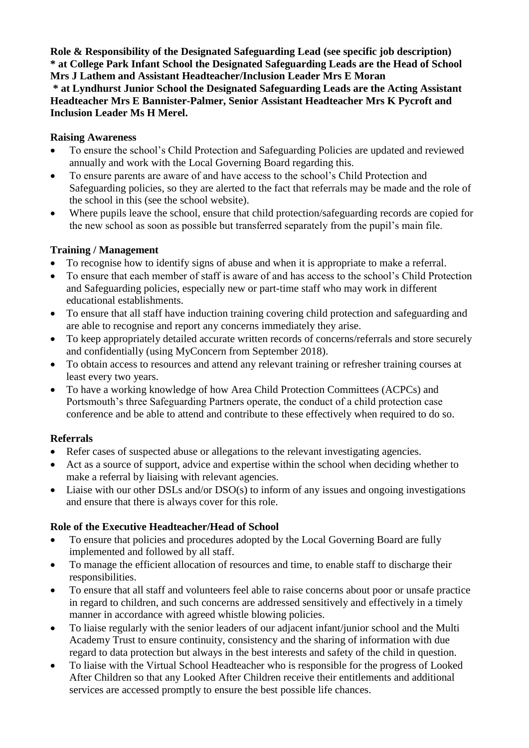**Role & Responsibility of the Designated Safeguarding Lead (see specific job description) \* at College Park Infant School the Designated Safeguarding Leads are the Head of School Mrs J Lathem and Assistant Headteacher/Inclusion Leader Mrs E Moran** 

**\* at Lyndhurst Junior School the Designated Safeguarding Leads are the Acting Assistant Headteacher Mrs E Bannister-Palmer, Senior Assistant Headteacher Mrs K Pycroft and Inclusion Leader Ms H Merel.**

## **Raising Awareness**

- To ensure the school's Child Protection and Safeguarding Policies are updated and reviewed annually and work with the Local Governing Board regarding this.
- To ensure parents are aware of and have access to the school's Child Protection and Safeguarding policies, so they are alerted to the fact that referrals may be made and the role of the school in this (see the school website).
- Where pupils leave the school, ensure that child protection/safeguarding records are copied for the new school as soon as possible but transferred separately from the pupil's main file.

## **Training / Management**

- To recognise how to identify signs of abuse and when it is appropriate to make a referral.
- To ensure that each member of staff is aware of and has access to the school's Child Protection and Safeguarding policies, especially new or part-time staff who may work in different educational establishments.
- To ensure that all staff have induction training covering child protection and safeguarding and are able to recognise and report any concerns immediately they arise.
- To keep appropriately detailed accurate written records of concerns/referrals and store securely and confidentially (using MyConcern from September 2018).
- To obtain access to resources and attend any relevant training or refresher training courses at least every two years.
- To have a working knowledge of how Area Child Protection Committees (ACPCs) and Portsmouth's three Safeguarding Partners operate, the conduct of a child protection case conference and be able to attend and contribute to these effectively when required to do so.

#### **Referrals**

- Refer cases of suspected abuse or allegations to the relevant investigating agencies.
- Act as a source of support, advice and expertise within the school when deciding whether to make a referral by liaising with relevant agencies.
- Liaise with our other DSLs and/or DSO(s) to inform of any issues and ongoing investigations and ensure that there is always cover for this role.

#### **Role of the Executive Headteacher/Head of School**

- To ensure that policies and procedures adopted by the Local Governing Board are fully implemented and followed by all staff.
- To manage the efficient allocation of resources and time, to enable staff to discharge their responsibilities.
- To ensure that all staff and volunteers feel able to raise concerns about poor or unsafe practice in regard to children, and such concerns are addressed sensitively and effectively in a timely manner in accordance with agreed whistle blowing policies.
- To liaise regularly with the senior leaders of our adjacent infant/junior school and the Multi Academy Trust to ensure continuity, consistency and the sharing of information with due regard to data protection but always in the best interests and safety of the child in question.
- To liaise with the Virtual School Headteacher who is responsible for the progress of Looked After Children so that any Looked After Children receive their entitlements and additional services are accessed promptly to ensure the best possible life chances.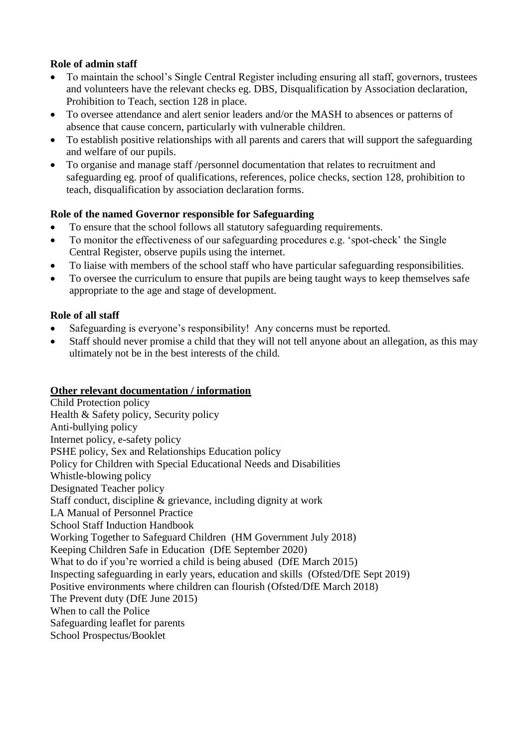## **Role of admin staff**

- To maintain the school's Single Central Register including ensuring all staff, governors, trustees and volunteers have the relevant checks eg. DBS, Disqualification by Association declaration, Prohibition to Teach, section 128 in place.
- To oversee attendance and alert senior leaders and/or the MASH to absences or patterns of absence that cause concern, particularly with vulnerable children.
- To establish positive relationships with all parents and carers that will support the safeguarding and welfare of our pupils.
- To organise and manage staff /personnel documentation that relates to recruitment and safeguarding eg. proof of qualifications, references, police checks, section 128, prohibition to teach, disqualification by association declaration forms.

## **Role of the named Governor responsible for Safeguarding**

- To ensure that the school follows all statutory safeguarding requirements.
- To monitor the effectiveness of our safeguarding procedures e.g. 'spot-check' the Single Central Register, observe pupils using the internet.
- To liaise with members of the school staff who have particular safeguarding responsibilities.
- To oversee the curriculum to ensure that pupils are being taught ways to keep themselves safe appropriate to the age and stage of development.

## **Role of all staff**

- Safeguarding is everyone's responsibility! Any concerns must be reported.
- Staff should never promise a child that they will not tell anyone about an allegation, as this may ultimately not be in the best interests of the child.

#### **Other relevant documentation / information**

Child Protection policy Health & Safety policy, Security policy Anti-bullying policy Internet policy, e-safety policy PSHE policy, Sex and Relationships Education policy Policy for Children with Special Educational Needs and Disabilities Whistle-blowing policy Designated Teacher policy Staff conduct, discipline & grievance, including dignity at work LA Manual of Personnel Practice School Staff Induction Handbook Working Together to Safeguard Children (HM Government July 2018) Keeping Children Safe in Education (DfE September 2020) What to do if you're worried a child is being abused (DfE March 2015) Inspecting safeguarding in early years, education and skills (Ofsted/DfE Sept 2019) Positive environments where children can flourish (Ofsted/DfE March 2018) The Prevent duty (DfE June 2015) When to call the Police Safeguarding leaflet for parents School Prospectus/Booklet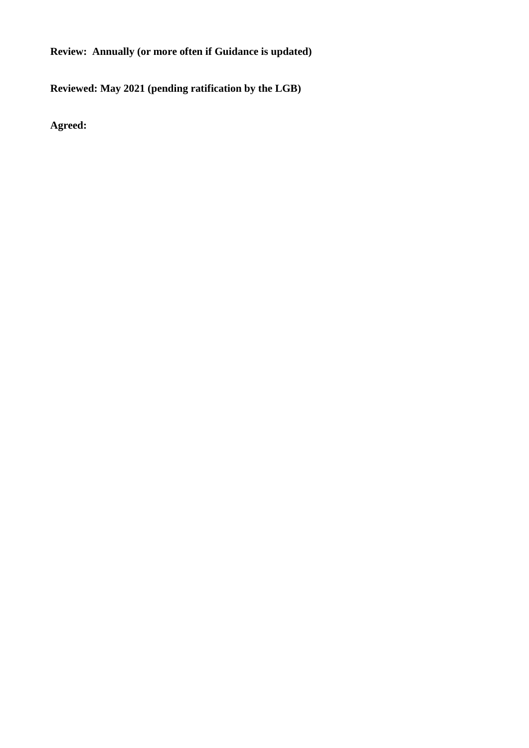**Review: Annually (or more often if Guidance is updated)**

**Reviewed: May 2021 (pending ratification by the LGB)**

**Agreed:**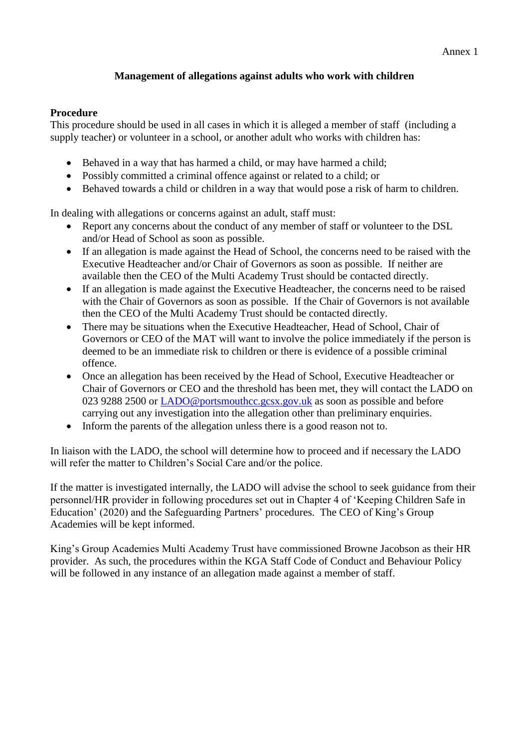#### Annex 1

#### **Management of allegations against adults who work with children**

#### **Procedure**

This procedure should be used in all cases in which it is alleged a member of staff (including a supply teacher) or volunteer in a school, or another adult who works with children has:

- Behaved in a way that has harmed a child, or may have harmed a child;
- Possibly committed a criminal offence against or related to a child; or
- Behaved towards a child or children in a way that would pose a risk of harm to children.

In dealing with allegations or concerns against an adult, staff must:

- Report any concerns about the conduct of any member of staff or volunteer to the DSL and/or Head of School as soon as possible.
- If an allegation is made against the Head of School, the concerns need to be raised with the Executive Headteacher and/or Chair of Governors as soon as possible. If neither are available then the CEO of the Multi Academy Trust should be contacted directly.
- If an allegation is made against the Executive Headteacher, the concerns need to be raised with the Chair of Governors as soon as possible. If the Chair of Governors is not available then the CEO of the Multi Academy Trust should be contacted directly.
- There may be situations when the Executive Headteacher, Head of School, Chair of Governors or CEO of the MAT will want to involve the police immediately if the person is deemed to be an immediate risk to children or there is evidence of a possible criminal offence.
- Once an allegation has been received by the Head of School, Executive Headteacher or Chair of Governors or CEO and the threshold has been met, they will contact the LADO on 023 9288 2500 or [LADO@portsmouthcc.gcsx.gov.uk](mailto:LADO@portsmouthcc.gcsx.gov.uk) as soon as possible and before carrying out any investigation into the allegation other than preliminary enquiries.
- Inform the parents of the allegation unless there is a good reason not to.

In liaison with the LADO, the school will determine how to proceed and if necessary the LADO will refer the matter to Children's Social Care and/or the police.

If the matter is investigated internally, the LADO will advise the school to seek guidance from their personnel/HR provider in following procedures set out in Chapter 4 of 'Keeping Children Safe in Education' (2020) and the Safeguarding Partners' procedures. The CEO of King's Group Academies will be kept informed.

King's Group Academies Multi Academy Trust have commissioned Browne Jacobson as their HR provider. As such, the procedures within the KGA Staff Code of Conduct and Behaviour Policy will be followed in any instance of an allegation made against a member of staff.